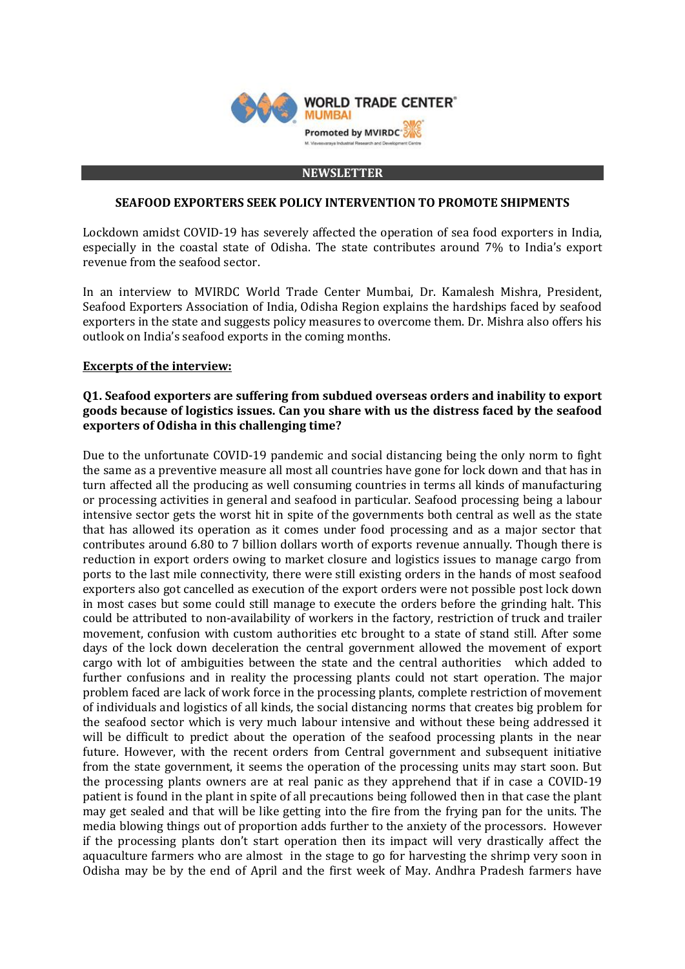

#### **NEWSLETTER**

#### **SEAFOOD EXPORTERS SEEK POLICY INTERVENTION TO PROMOTE SHIPMENTS**

Lockdown amidst COVID-19 has severely affected the operation of sea food exporters in India, especially in the coastal state of Odisha. The state contributes around 7% to India's export revenue from the seafood sector.

In an interview to MVIRDC World Trade Center Mumbai, Dr. Kamalesh Mishra, President, Seafood Exporters Association of India, Odisha Region explains the hardships faced by seafood exporters in the state and suggests policy measures to overcome them. Dr. Mishra also offers his outlook on India's seafood exports in the coming months.

### **Excerpts of the interview:**

### **Q1. Seafood exporters are suffering from subdued overseas orders and inability to export goods because of logistics issues. Can you share with us the distress faced by the seafood exporters of Odisha in this challenging time?**

Due to the unfortunate COVID-19 pandemic and social distancing being the only norm to fight the same as a preventive measure all most all countries have gone for lock down and that has in turn affected all the producing as well consuming countries in terms all kinds of manufacturing or processing activities in general and seafood in particular. Seafood processing being a labour intensive sector gets the worst hit in spite of the governments both central as well as the state that has allowed its operation as it comes under food processing and as a major sector that contributes around 6.80 to 7 billion dollars worth of exports revenue annually. Though there is reduction in export orders owing to market closure and logistics issues to manage cargo from ports to the last mile connectivity, there were still existing orders in the hands of most seafood exporters also got cancelled as execution of the export orders were not possible post lock down in most cases but some could still manage to execute the orders before the grinding halt. This could be attributed to non-availability of workers in the factory, restriction of truck and trailer movement, confusion with custom authorities etc brought to a state of stand still. After some days of the lock down deceleration the central government allowed the movement of export cargo with lot of ambiguities between the state and the central authorities which added to further confusions and in reality the processing plants could not start operation. The major problem faced are lack of work force in the processing plants, complete restriction of movement of individuals and logistics of all kinds, the social distancing norms that creates big problem for the seafood sector which is very much labour intensive and without these being addressed it will be difficult to predict about the operation of the seafood processing plants in the near future. However, with the recent orders from Central government and subsequent initiative from the state government, it seems the operation of the processing units may start soon. But the processing plants owners are at real panic as they apprehend that if in case a COVID-19 patient is found in the plant in spite of all precautions being followed then in that case the plant may get sealed and that will be like getting into the fire from the frying pan for the units. The media blowing things out of proportion adds further to the anxiety of the processors. However if the processing plants don't start operation then its impact will very drastically affect the aquaculture farmers who are almost in the stage to go for harvesting the shrimp very soon in Odisha may be by the end of April and the first week of May. Andhra Pradesh farmers have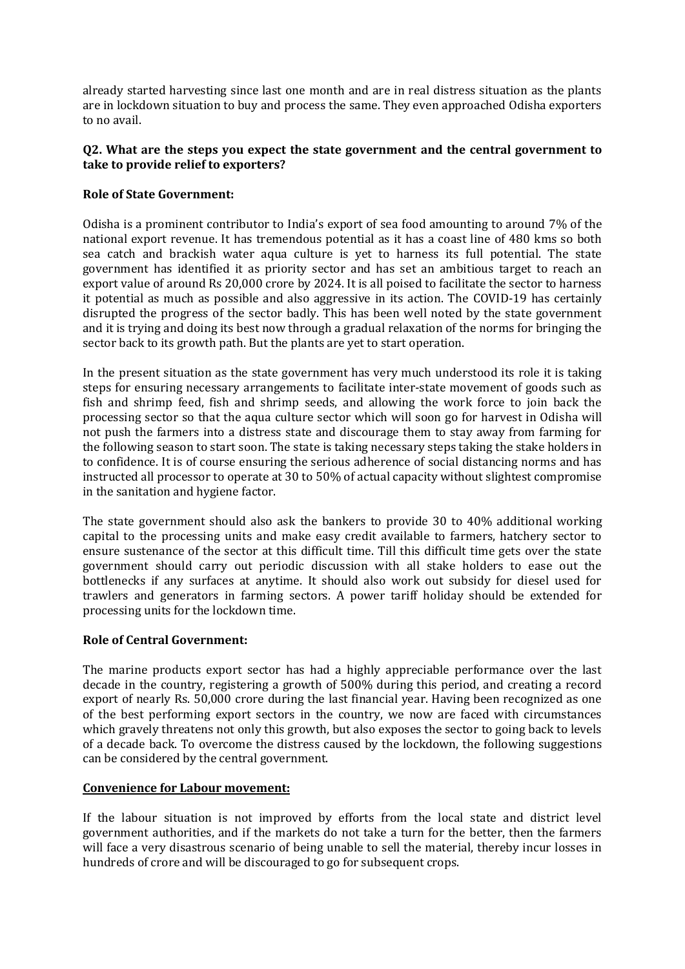already started harvesting since last one month and are in real distress situation as the plants are in lockdown situation to buy and process the same. They even approached Odisha exporters to no avail.

## **Q2. What are the steps you expect the state government and the central government to take to provide relief to exporters?**

# **Role of State Government:**

Odisha is a prominent contributor to India's export of sea food amounting to around 7% of the national export revenue. It has tremendous potential as it has a coast line of 480 kms so both sea catch and brackish water aqua culture is yet to harness its full potential. The state government has identified it as priority sector and has set an ambitious target to reach an export value of around Rs 20,000 crore by 2024. It is all poised to facilitate the sector to harness it potential as much as possible and also aggressive in its action. The COVID-19 has certainly disrupted the progress of the sector badly. This has been well noted by the state government and it is trying and doing its best now through a gradual relaxation of the norms for bringing the sector back to its growth path. But the plants are yet to start operation.

In the present situation as the state government has very much understood its role it is taking steps for ensuring necessary arrangements to facilitate inter-state movement of goods such as fish and shrimp feed, fish and shrimp seeds, and allowing the work force to join back the processing sector so that the aqua culture sector which will soon go for harvest in Odisha will not push the farmers into a distress state and discourage them to stay away from farming for the following season to start soon. The state is taking necessary steps taking the stake holders in to confidence. It is of course ensuring the serious adherence of social distancing norms and has instructed all processor to operate at 30 to 50% of actual capacity without slightest compromise in the sanitation and hygiene factor.

The state government should also ask the bankers to provide 30 to 40% additional working capital to the processing units and make easy credit available to farmers, hatchery sector to ensure sustenance of the sector at this difficult time. Till this difficult time gets over the state government should carry out periodic discussion with all stake holders to ease out the bottlenecks if any surfaces at anytime. It should also work out subsidy for diesel used for trawlers and generators in farming sectors. A power tariff holiday should be extended for processing units for the lockdown time.

### **Role of Central Government:**

The marine products export sector has had a highly appreciable performance over the last decade in the country, registering a growth of 500% during this period, and creating a record export of nearly Rs. 50,000 crore during the last financial year. Having been recognized as one of the best performing export sectors in the country, we now are faced with circumstances which gravely threatens not only this growth, but also exposes the sector to going back to levels of a decade back. To overcome the distress caused by the lockdown, the following suggestions can be considered by the central government.

### **Convenience for Labour movement:**

If the labour situation is not improved by efforts from the local state and district level government authorities, and if the markets do not take a turn for the better, then the farmers will face a very disastrous scenario of being unable to sell the material, thereby incur losses in hundreds of crore and will be discouraged to go for subsequent crops.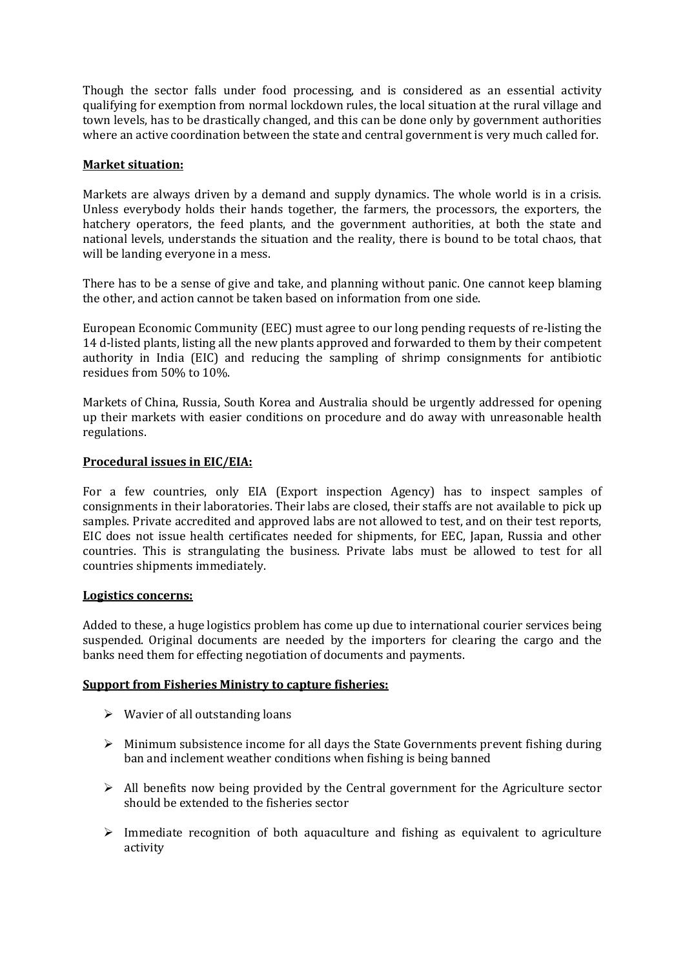Though the sector falls under food processing, and is considered as an essential activity qualifying for exemption from normal lockdown rules, the local situation at the rural village and town levels, has to be drastically changed, and this can be done only by government authorities where an active coordination between the state and central government is very much called for.

## **Market situation:**

Markets are always driven by a demand and supply dynamics. The whole world is in a crisis. Unless everybody holds their hands together, the farmers, the processors, the exporters, the hatchery operators, the feed plants, and the government authorities, at both the state and national levels, understands the situation and the reality, there is bound to be total chaos, that will be landing everyone in a mess.

There has to be a sense of give and take, and planning without panic. One cannot keep blaming the other, and action cannot be taken based on information from one side.

European Economic Community (EEC) must agree to our long pending requests of re-listing the 14 d-listed plants, listing all the new plants approved and forwarded to them by their competent authority in India (EIC) and reducing the sampling of shrimp consignments for antibiotic residues from 50% to 10%.

Markets of China, Russia, South Korea and Australia should be urgently addressed for opening up their markets with easier conditions on procedure and do away with unreasonable health regulations.

### **Procedural issues in EIC/EIA:**

For a few countries, only EIA (Export inspection Agency) has to inspect samples of consignments in their laboratories. Their labs are closed, their staffs are not available to pick up samples. Private accredited and approved labs are not allowed to test, and on their test reports, EIC does not issue health certificates needed for shipments, for EEC, Japan, Russia and other countries. This is strangulating the business. Private labs must be allowed to test for all countries shipments immediately.

### **Logistics concerns:**

Added to these, a huge logistics problem has come up due to international courier services being suspended. Original documents are needed by the importers for clearing the cargo and the banks need them for effecting negotiation of documents and payments.

### **Support from Fisheries Ministry to capture fisheries:**

- $\triangleright$  Wavier of all outstanding loans
- $\triangleright$  Minimum subsistence income for all days the State Governments prevent fishing during ban and inclement weather conditions when fishing is being banned
- $\triangleright$  All benefits now being provided by the Central government for the Agriculture sector should be extended to the fisheries sector
- $\triangleright$  Immediate recognition of both aquaculture and fishing as equivalent to agriculture activity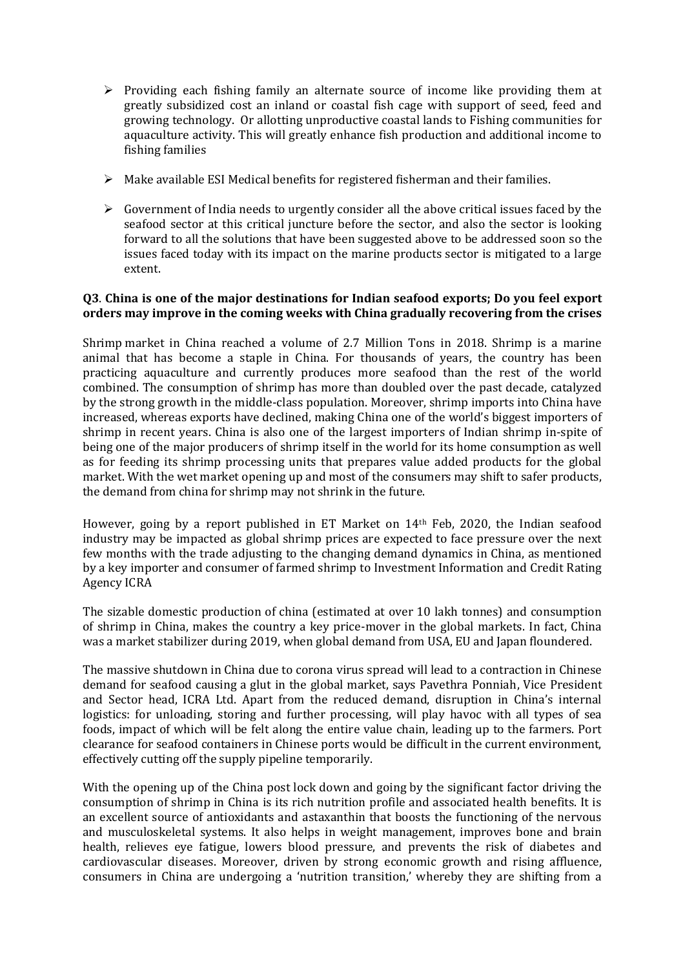- $\triangleright$  Providing each fishing family an alternate source of income like providing them at greatly subsidized cost an inland or coastal fish cage with support of seed, feed and growing technology. Or allotting unproductive coastal lands to Fishing communities for aquaculture activity. This will greatly enhance fish production and additional income to fishing families
- $\triangleright$  Make available ESI Medical benefits for registered fisherman and their families.
- $\triangleright$  Government of India needs to urgently consider all the above critical issues faced by the seafood sector at this critical juncture before the sector, and also the sector is looking forward to all the solutions that have been suggested above to be addressed soon so the issues faced today with its impact on the marine products sector is mitigated to a large extent.

# **Q3**. **China is one of the major destinations for Indian seafood exports; Do you feel export orders may improve in the coming weeks with China gradually recovering from the crises**

Shrimp market in China reached a volume of 2.7 Million Tons in 2018. Shrimp is a marine animal that has become a staple in China. For thousands of years, the country has been practicing aquaculture and currently produces more seafood than the rest of the world combined. The consumption of shrimp has more than doubled over the past decade, catalyzed by the strong growth in the middle-class population. Moreover, shrimp imports into China have increased, whereas exports have declined, making China one of the world's biggest importers of shrimp in recent years. China is also one of the largest importers of Indian shrimp in-spite of being one of the major producers of shrimp itself in the world for its home consumption as well as for feeding its shrimp processing units that prepares value added products for the global market. With the wet market opening up and most of the consumers may shift to safer products, the demand from china for shrimp may not shrink in the future.

However, going by a report published in ET Market on 14th Feb, 2020, the Indian seafood industry may be impacted as global shrimp prices are expected to face pressure over the next few months with the trade adjusting to the changing demand dynamics in China, as mentioned by a key importer and consumer of farmed shrimp to Investment Information and Credit Rating Agency ICRA

The sizable domestic production of china (estimated at over 10 lakh tonnes) and consumption of shrimp in China, makes the country a key price-mover in the global markets. In fact, China was a market stabilizer during 2019, when global demand from USA, EU and Japan floundered.

The massive shutdown in China due to corona virus spread will lead to a contraction in Chinese demand for seafood causing a glut in the global market, says Pavethra Ponniah, Vice President and Sector head, ICRA Ltd. Apart from the reduced demand, disruption in China's internal logistics: for unloading, storing and further processing, will play havoc with all types of sea foods, impact of which will be felt along the entire value chain, leading up to the farmers. Port clearance for seafood containers in Chinese ports would be difficult in the current environment, effectively cutting off the supply pipeline temporarily.

With the opening up of the China post lock down and going by the significant factor driving the consumption of shrimp in China is its rich nutrition profile and associated health benefits. It is an excellent source of antioxidants and astaxanthin that boosts the functioning of the nervous and musculoskeletal systems. It also helps in weight management, improves bone and brain health, relieves eye fatigue, lowers blood pressure, and prevents the risk of diabetes and cardiovascular diseases. Moreover, driven by strong economic growth and rising affluence, consumers in China are undergoing a 'nutrition transition,' whereby they are shifting from a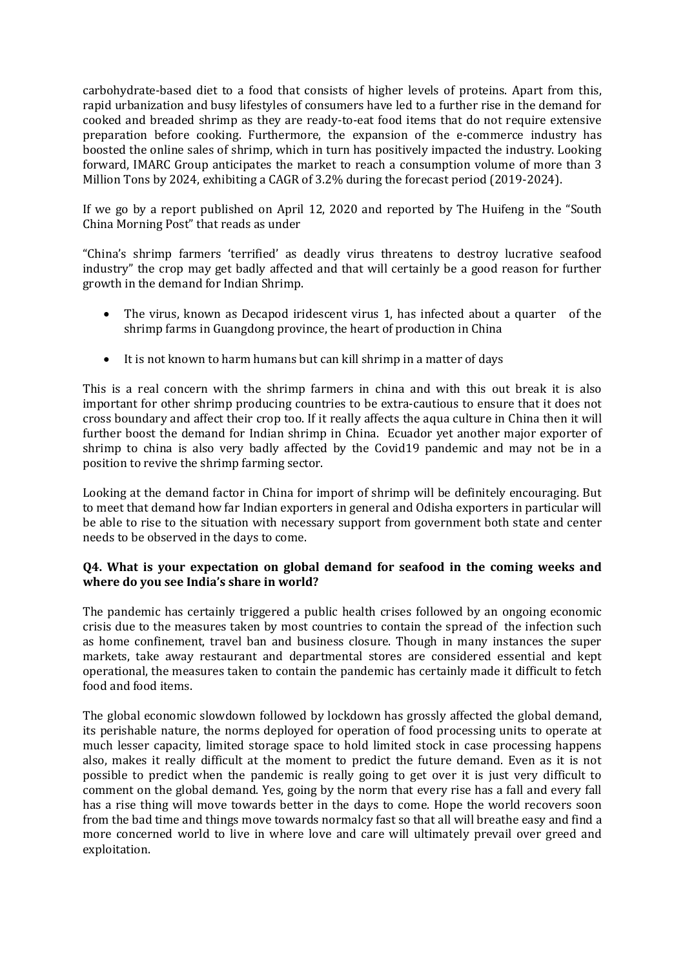carbohydrate-based diet to a food that consists of higher levels of proteins. Apart from this, rapid urbanization and busy lifestyles of consumers have led to a further rise in the demand for cooked and breaded shrimp as they are ready-to-eat food items that do not require extensive preparation before cooking. Furthermore, the expansion of the e-commerce industry has boosted the online sales of shrimp, which in turn has positively impacted the industry. Looking forward, IMARC Group anticipates the market to reach a consumption volume of more than 3 Million Tons by 2024, exhibiting a CAGR of 3.2% during the forecast period (2019-2024).

If we go by a report published on April 12, 2020 and reported by The Huifeng in the "South China Morning Post" that reads as under

"China's shrimp farmers 'terrified' as deadly virus threatens to destroy lucrative seafood industry" the crop may get badly affected and that will certainly be a good reason for further growth in the demand for Indian Shrimp.

- The virus, known as Decapod iridescent virus 1, has infected about a quarter of the shrimp farms in Guangdong province, the heart of production in China
- It is not known to harm humans but can kill shrimp in a matter of days

This is a real concern with the shrimp farmers in china and with this out break it is also important for other shrimp producing countries to be extra-cautious to ensure that it does not cross boundary and affect their crop too. If it really affects the aqua culture in China then it will further boost the demand for Indian shrimp in China. Ecuador yet another major exporter of shrimp to china is also very badly affected by the Covid19 pandemic and may not be in a position to revive the shrimp farming sector.

Looking at the demand factor in China for import of shrimp will be definitely encouraging. But to meet that demand how far Indian exporters in general and Odisha exporters in particular will be able to rise to the situation with necessary support from government both state and center needs to be observed in the days to come.

# **Q4. What is your expectation on global demand for seafood in the coming weeks and where do you see India's share in world?**

The pandemic has certainly triggered a public health crises followed by an ongoing economic crisis due to the measures taken by most countries to contain the spread of the infection such as home confinement, travel ban and business closure. Though in many instances the super markets, take away restaurant and departmental stores are considered essential and kept operational, the measures taken to contain the pandemic has certainly made it difficult to fetch food and food items.

The global economic slowdown followed by lockdown has grossly affected the global demand, its perishable nature, the norms deployed for operation of food processing units to operate at much lesser capacity, limited storage space to hold limited stock in case processing happens also, makes it really difficult at the moment to predict the future demand. Even as it is not possible to predict when the pandemic is really going to get over it is just very difficult to comment on the global demand. Yes, going by the norm that every rise has a fall and every fall has a rise thing will move towards better in the days to come. Hope the world recovers soon from the bad time and things move towards normalcy fast so that all will breathe easy and find a more concerned world to live in where love and care will ultimately prevail over greed and exploitation.